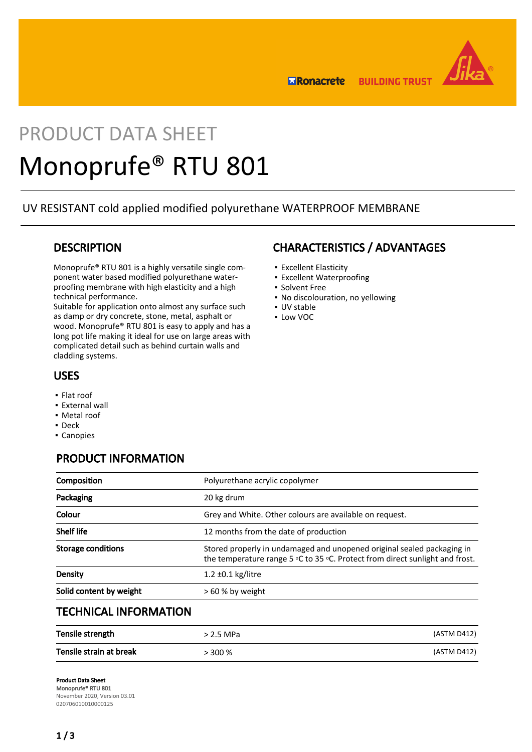

**ERonacrete BUILDING TRUST** 

# PRODUCT DATA SHEET Monoprufe® RTU 801

UV RESISTANT cold applied modified polyurethane WATERPROOF MEMBRANE

## **DESCRIPTION**

Monoprufe® RTU 801 is a highly versatile single component water based modified polyurethane waterproofing membrane with high elasticity and a high technical performance.

Suitable for application onto almost any surface such as damp or dry concrete, stone, metal, asphalt or wood. Monoprufe® RTU 801 is easy to apply and has a long pot life making it ideal for use on large areas with complicated detail such as behind curtain walls and cladding systems.

## USES

- Flat roof
- **External wall**
- Metal roof
- Deck
- Canopies

# PRODUCT INFORMATION

| Composition                  | Polyurethane acrylic copolymer                                                                                                                         |
|------------------------------|--------------------------------------------------------------------------------------------------------------------------------------------------------|
| Packaging                    | 20 kg drum                                                                                                                                             |
| Colour                       | Grey and White. Other colours are available on request.                                                                                                |
| <b>Shelf life</b>            | 12 months from the date of production                                                                                                                  |
| <b>Storage conditions</b>    | Stored properly in undamaged and unopened original sealed packaging in<br>the temperature range 5 °C to 35 °C. Protect from direct sunlight and frost. |
| Density                      | $1.2 \pm 0.1$ kg/litre                                                                                                                                 |
| Solid content by weight      | $>60$ % by weight                                                                                                                                      |
| <b>TECHNICAL INFORMATION</b> |                                                                                                                                                        |

| Tensile strength        | > 2.5 MPa | (ASTM D412) |
|-------------------------|-----------|-------------|
| Tensile strain at break | $> 300\%$ | (ASTM D412) |

# CHARACTERISTICS / ADVANTAGES

- Excellent Elasticity
- **Excellent Waterproofing**
- Solvent Free
- No discolouration, no yellowing
- UV stable
- Low VOC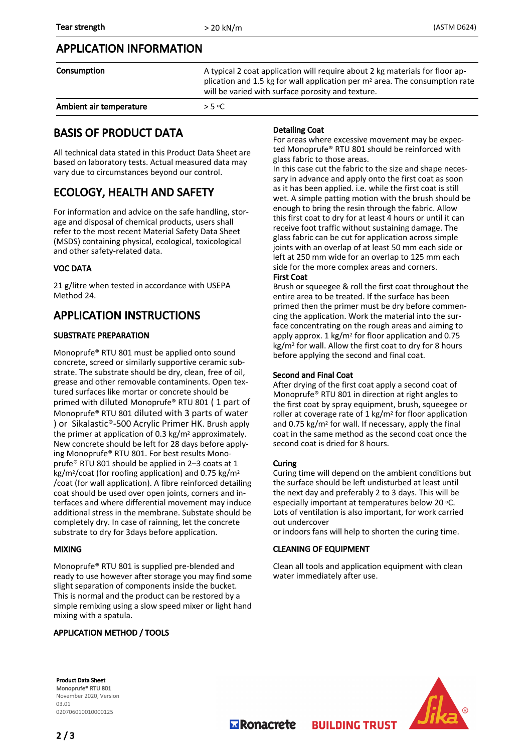## APPLICATION INFORMATION

| Consumption             | A typical 2 coat application will require about 2 kg materials for floor ap-<br>plication and 1.5 kg for wall application per m <sup>2</sup> area. The consumption rate<br>will be varied with surface porosity and texture. |
|-------------------------|------------------------------------------------------------------------------------------------------------------------------------------------------------------------------------------------------------------------------|
| Ambient air temperature | $>$ 5 °C                                                                                                                                                                                                                     |

# BASIS OF PRODUCT DATA

All technical data stated in this Product Data Sheet are based on laboratory tests. Actual measured data may vary due to circumstances beyond our control.

# ECOLOGY, HEALTH AND SAFETY

For information and advice on the safe handling, storage and disposal of chemical products, users shall refer to the most recent Material Safety Data Sheet (MSDS) containing physical, ecological, toxicological and other safety-related data.

#### VOC DATA

21 g/litre when tested in accordance with USEPA Method 24.

# APPLICATION INSTRUCTIONS

#### SUBSTRATE PREPARATION

Monoprufe® RTU 801 must be applied onto sound concrete, screed or similarly supportive ceramic substrate. The substrate should be dry, clean, free of oil, grease and other removable contaminents. Open textured surfaces like mortar or concrete should be primed with diluted Monoprufe® RTU 801 ( 1 part of Monoprufe® RTU 801 diluted with 3 parts of water ) or Sikalastic®-500 Acrylic Primer HK. Brush apply the primer at application of 0.3 kg/m<sup>2</sup> approximately. New concrete should be left for 28 days before applying Monoprufe® RTU 801. For best results Monoprufe® RTU 801 should be applied in 2–3 coats at 1 kg/m2/coat (for roofing application) and 0.75 kg/m<sup>2</sup> /coat (for wall application). A fibre reinforced detailing coat should be used over open joints, corners and interfaces and where differential movement may induce additional stress in the membrane. Substate should be completely dry. In case of rainning, let the concrete substrate to dry for 3days before application.

#### MIXING

Monoprufe® RTU 801 is supplied pre-blended and ready to use however after storage you may find some slight separation of components inside the bucket. This is normal and the product can be restored by a simple remixing using a slow speed mixer or light hand mixing with a spatula.

#### APPLICATION METHOD / TOOLS

#### Detailing Coat

For areas where excessive movement may be expected Monoprufe® RTU 801 should be reinforced with glass fabric to those areas.

In this case cut the fabric to the size and shape necessary in advance and apply onto the first coat as soon as it has been applied. i.e. while the first coat is still wet. A simple patting motion with the brush should be enough to bring the resin through the fabric. Allow this first coat to dry for at least 4 hours or until it can receive foot traffic without sustaining damage. The glass fabric can be cut for application across simple joints with an overlap of at least 50 mm each side or left at 250 mm wide for an overlap to 125 mm each side for the more complex areas and corners. First Coat

Brush or squeegee & roll the first coat throughout the entire area to be treated. If the surface has been primed then the primer must be dry before commencing the application. Work the material into the surface concentrating on the rough areas and aiming to apply approx. 1 kg/m2 for floor application and 0.75 kg/m2 for wall. Allow the first coat to dry for 8 hours before applying the second and final coat.

#### Second and Final Coat

After drying of the first coat apply a second coat of Monoprufe® RTU 801 in direction at right angles to the first coat by spray equipment, brush, squeegee or roller at coverage rate of 1 kg/m2 for floor application and 0.75 kg/m2 for wall. If necessary, apply the final coat in the same method as the second coat once the second coat is dried for 8 hours.

#### **Curing**

Curing time will depend on the ambient conditions but the surface should be left undisturbed at least until the next day and preferably 2 to 3 days. This will be especially important at temperatures below 20 °C. Lots of ventilation is also important, for work carried out undercover

or indoors fans will help to shorten the curing time.

#### CLEANING OF EQUIPMENT

Clean all tools and application equipment with clean water immediately after use.

**BUILDING TRUST** 

Product Data Sheet Monoprufe® RTU 801 November 2020, Version 03.01 020706010010000125



**M** Ronacrete